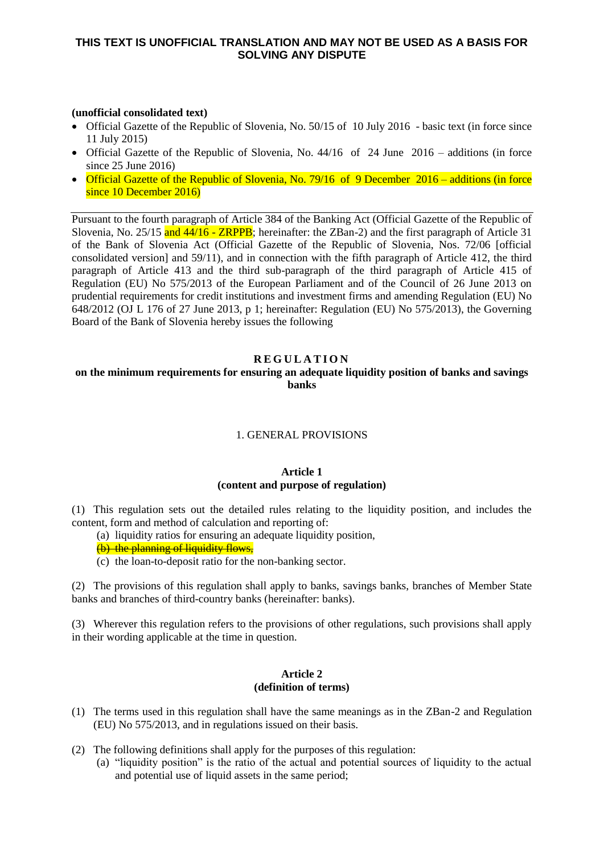# **THIS TEXT IS UNOFFICIAL TRANSLATION AND MAY NOT BE USED AS A BASIS FOR SOLVING ANY DISPUTE**

## **(unofficial consolidated text)**

- Official Gazette of the Republic of Slovenia, No. 50/15 of 10 July 2016 basic text (in force since 11 July 2015)
- Official Gazette of the Republic of Slovenia, No.  $44/16$  of 24 June 2016 additions (in force since 25 June 2016)
- Official Gazette of the Republic of Slovenia, No. 79/16 of 9 December 2016 additions (in force since 10 December 2016)

Pursuant to the fourth paragraph of Article 384 of the Banking Act (Official Gazette of the Republic of Slovenia, No. 25/15 and 44/16 - ZRPPB; hereinafter: the ZBan-2) and the first paragraph of Article 31 of the Bank of Slovenia Act (Official Gazette of the Republic of Slovenia, Nos. 72/06 [official consolidated version] and 59/11), and in connection with the fifth paragraph of Article 412, the third paragraph of Article 413 and the third sub-paragraph of the third paragraph of Article 415 of Regulation (EU) No 575/2013 of the European Parliament and of the Council of 26 June 2013 on prudential requirements for credit institutions and investment firms and amending Regulation (EU) No 648/2012 (OJ L 176 of 27 June 2013, p 1; hereinafter: Regulation (EU) No 575/2013), the Governing Board of the Bank of Slovenia hereby issues the following

# **R E G U L A T I O N**

# **on the minimum requirements for ensuring an adequate liquidity position of banks and savings banks**

#### 1. GENERAL PROVISIONS

## **Article 1 (content and purpose of regulation)**

(1) This regulation sets out the detailed rules relating to the liquidity position, and includes the content, form and method of calculation and reporting of:

(a) liquidity ratios for ensuring an adequate liquidity position,

(b) the planning of liquidity flows,

(c) the loan-to-deposit ratio for the non-banking sector.

(2) The provisions of this regulation shall apply to banks, savings banks, branches of Member State banks and branches of third-country banks (hereinafter: banks).

(3) Wherever this regulation refers to the provisions of other regulations, such provisions shall apply in their wording applicable at the time in question.

#### **Article 2 (definition of terms)**

- (1) The terms used in this regulation shall have the same meanings as in the ZBan-2 and Regulation (EU) No 575/2013, and in regulations issued on their basis.
- (2) The following definitions shall apply for the purposes of this regulation:
	- (a) "liquidity position" is the ratio of the actual and potential sources of liquidity to the actual and potential use of liquid assets in the same period;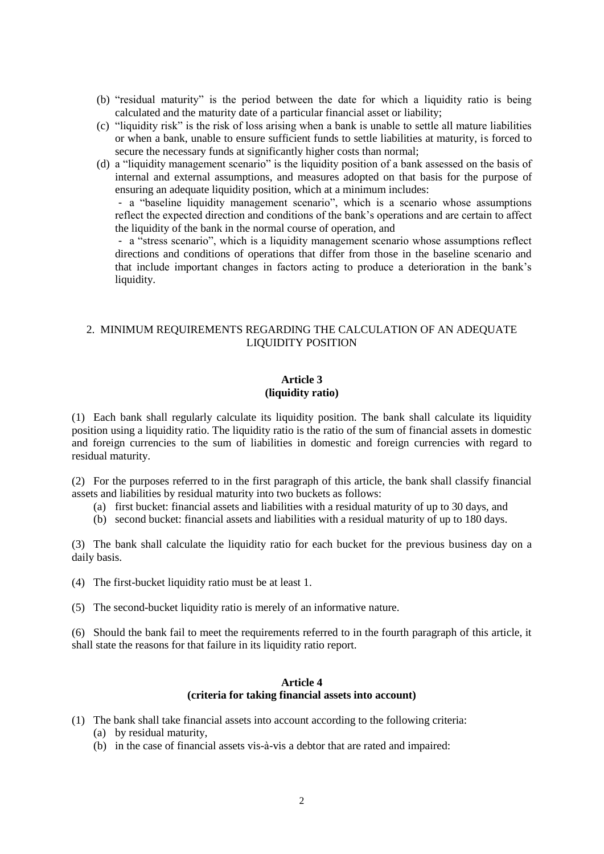- (b) "residual maturity" is the period between the date for which a liquidity ratio is being calculated and the maturity date of a particular financial asset or liability;
- (c) "liquidity risk" is the risk of loss arising when a bank is unable to settle all mature liabilities or when a bank, unable to ensure sufficient funds to settle liabilities at maturity, is forced to secure the necessary funds at significantly higher costs than normal;
- (d) a "liquidity management scenario" is the liquidity position of a bank assessed on the basis of internal and external assumptions, and measures adopted on that basis for the purpose of ensuring an adequate liquidity position, which at a minimum includes:

- a "baseline liquidity management scenario", which is a scenario whose assumptions reflect the expected direction and conditions of the bank's operations and are certain to affect the liquidity of the bank in the normal course of operation, and

- a "stress scenario", which is a liquidity management scenario whose assumptions reflect directions and conditions of operations that differ from those in the baseline scenario and that include important changes in factors acting to produce a deterioration in the bank's liquidity.

# 2. MINIMUM REQUIREMENTS REGARDING THE CALCULATION OF AN ADEQUATE LIQUIDITY POSITION

## **Article 3 (liquidity ratio)**

(1) Each bank shall regularly calculate its liquidity position. The bank shall calculate its liquidity position using a liquidity ratio. The liquidity ratio is the ratio of the sum of financial assets in domestic and foreign currencies to the sum of liabilities in domestic and foreign currencies with regard to residual maturity.

(2) For the purposes referred to in the first paragraph of this article, the bank shall classify financial assets and liabilities by residual maturity into two buckets as follows:

- (a) first bucket: financial assets and liabilities with a residual maturity of up to 30 days, and
- (b) second bucket: financial assets and liabilities with a residual maturity of up to 180 days.

(3) The bank shall calculate the liquidity ratio for each bucket for the previous business day on a daily basis.

(4) The first-bucket liquidity ratio must be at least 1.

(5) The second-bucket liquidity ratio is merely of an informative nature.

(6) Should the bank fail to meet the requirements referred to in the fourth paragraph of this article, it shall state the reasons for that failure in its liquidity ratio report.

#### **Article 4 (criteria for taking financial assets into account)**

- (1) The bank shall take financial assets into account according to the following criteria:
	- (a) by residual maturity,
	- (b) in the case of financial assets vis-à-vis a debtor that are rated and impaired: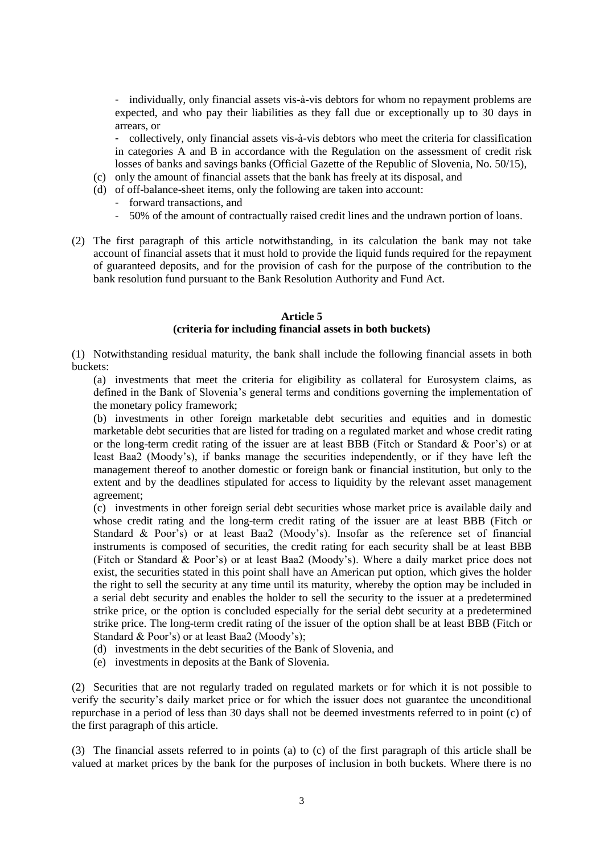- individually, only financial assets vis-à-vis debtors for whom no repayment problems are expected, and who pay their liabilities as they fall due or exceptionally up to 30 days in arrears, or

- collectively, only financial assets vis-à-vis debtors who meet the criteria for classification in categories A and B in accordance with the Regulation on the assessment of credit risk losses of banks and savings banks (Official Gazette of the Republic of Slovenia, No. 50/15),

- (c) only the amount of financial assets that the bank has freely at its disposal, and
- (d) of off-balance-sheet items, only the following are taken into account:
	- forward transactions, and
	- 50% of the amount of contractually raised credit lines and the undrawn portion of loans.
- (2) The first paragraph of this article notwithstanding, in its calculation the bank may not take account of financial assets that it must hold to provide the liquid funds required for the repayment of guaranteed deposits, and for the provision of cash for the purpose of the contribution to the bank resolution fund pursuant to the Bank Resolution Authority and Fund Act.

## **Article 5**

## **(criteria for including financial assets in both buckets)**

(1) Notwithstanding residual maturity, the bank shall include the following financial assets in both buckets:

(a) investments that meet the criteria for eligibility as collateral for Eurosystem claims, as defined in the Bank of Slovenia's general terms and conditions governing the implementation of the monetary policy framework;

(b) investments in other foreign marketable debt securities and equities and in domestic marketable debt securities that are listed for trading on a regulated market and whose credit rating or the long-term credit rating of the issuer are at least BBB (Fitch or Standard & Poor's) or at least Baa2 (Moody's), if banks manage the securities independently, or if they have left the management thereof to another domestic or foreign bank or financial institution, but only to the extent and by the deadlines stipulated for access to liquidity by the relevant asset management agreement;

(c) investments in other foreign serial debt securities whose market price is available daily and whose credit rating and the long-term credit rating of the issuer are at least BBB (Fitch or Standard & Poor's) or at least Baa2 (Moody's). Insofar as the reference set of financial instruments is composed of securities, the credit rating for each security shall be at least BBB (Fitch or Standard & Poor's) or at least Baa2 (Moody's). Where a daily market price does not exist, the securities stated in this point shall have an American put option, which gives the holder the right to sell the security at any time until its maturity, whereby the option may be included in a serial debt security and enables the holder to sell the security to the issuer at a predetermined strike price, or the option is concluded especially for the serial debt security at a predetermined strike price. The long-term credit rating of the issuer of the option shall be at least BBB (Fitch or Standard & Poor's) or at least Baa2 (Moody's);

- (d) investments in the debt securities of the Bank of Slovenia, and
- (e) investments in deposits at the Bank of Slovenia.

(2) Securities that are not regularly traded on regulated markets or for which it is not possible to verify the security's daily market price or for which the issuer does not guarantee the unconditional repurchase in a period of less than 30 days shall not be deemed investments referred to in point (c) of the first paragraph of this article.

(3) The financial assets referred to in points (a) to (c) of the first paragraph of this article shall be valued at market prices by the bank for the purposes of inclusion in both buckets. Where there is no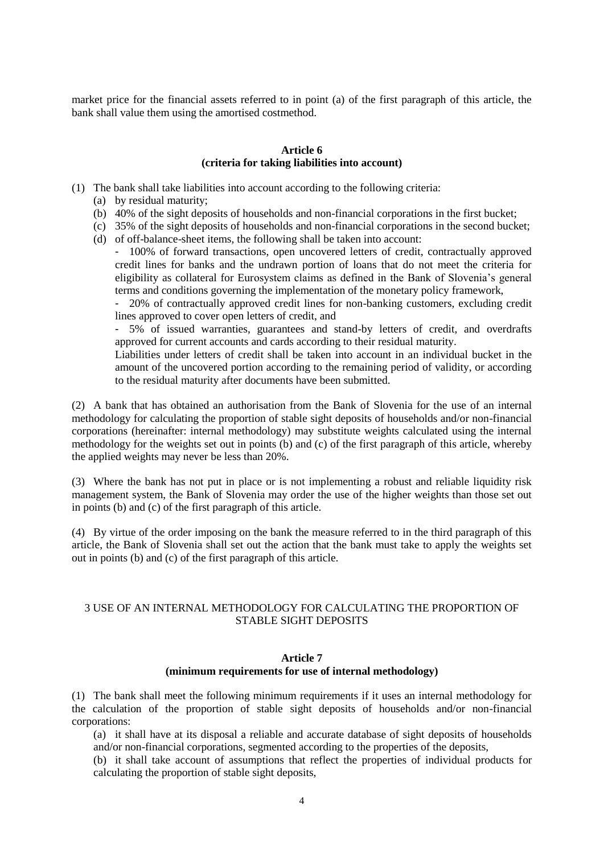market price for the financial assets referred to in point (a) of the first paragraph of this article, the bank shall value them using the amortised costmethod.

#### **Article 6 (criteria for taking liabilities into account)**

- (1) The bank shall take liabilities into account according to the following criteria:
	- (a) by residual maturity;
	- (b) 40% of the sight deposits of households and non-financial corporations in the first bucket;
	- (c) 35% of the sight deposits of households and non-financial corporations in the second bucket; (d) of off-balance-sheet items, the following shall be taken into account:

- 100% of forward transactions, open uncovered letters of credit, contractually approved credit lines for banks and the undrawn portion of loans that do not meet the criteria for eligibility as collateral for Eurosystem claims as defined in the Bank of Slovenia's general terms and conditions governing the implementation of the monetary policy framework,

- 20% of contractually approved credit lines for non-banking customers, excluding credit lines approved to cover open letters of credit, and

- 5% of issued warranties, guarantees and stand-by letters of credit, and overdrafts approved for current accounts and cards according to their residual maturity.

Liabilities under letters of credit shall be taken into account in an individual bucket in the amount of the uncovered portion according to the remaining period of validity, or according to the residual maturity after documents have been submitted.

(2) A bank that has obtained an authorisation from the Bank of Slovenia for the use of an internal methodology for calculating the proportion of stable sight deposits of households and/or non-financial corporations (hereinafter: internal methodology) may substitute weights calculated using the internal methodology for the weights set out in points (b) and (c) of the first paragraph of this article, whereby the applied weights may never be less than 20%.

(3) Where the bank has not put in place or is not implementing a robust and reliable liquidity risk management system, the Bank of Slovenia may order the use of the higher weights than those set out in points (b) and (c) of the first paragraph of this article.

(4) By virtue of the order imposing on the bank the measure referred to in the third paragraph of this article, the Bank of Slovenia shall set out the action that the bank must take to apply the weights set out in points (b) and (c) of the first paragraph of this article.

# 3 USE OF AN INTERNAL METHODOLOGY FOR CALCULATING THE PROPORTION OF STABLE SIGHT DEPOSITS

# **Article 7 (minimum requirements for use of internal methodology)**

(1) The bank shall meet the following minimum requirements if it uses an internal methodology for the calculation of the proportion of stable sight deposits of households and/or non-financial corporations:

(a) it shall have at its disposal a reliable and accurate database of sight deposits of households and/or non-financial corporations, segmented according to the properties of the deposits,

(b) it shall take account of assumptions that reflect the properties of individual products for calculating the proportion of stable sight deposits,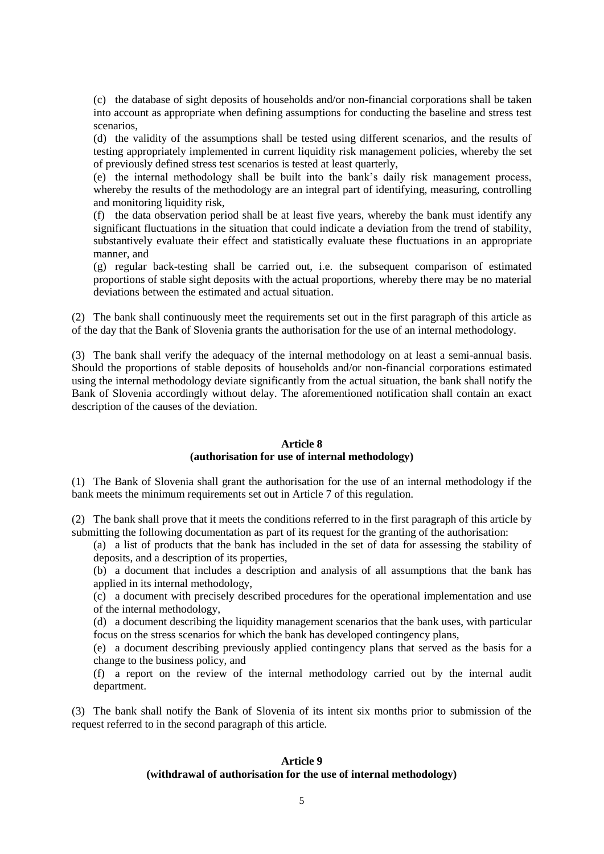(c) the database of sight deposits of households and/or non-financial corporations shall be taken into account as appropriate when defining assumptions for conducting the baseline and stress test scenarios,

(d) the validity of the assumptions shall be tested using different scenarios, and the results of testing appropriately implemented in current liquidity risk management policies, whereby the set of previously defined stress test scenarios is tested at least quarterly,

(e) the internal methodology shall be built into the bank's daily risk management process, whereby the results of the methodology are an integral part of identifying, measuring, controlling and monitoring liquidity risk,

(f) the data observation period shall be at least five years, whereby the bank must identify any significant fluctuations in the situation that could indicate a deviation from the trend of stability, substantively evaluate their effect and statistically evaluate these fluctuations in an appropriate manner, and

(g) regular back-testing shall be carried out, i.e. the subsequent comparison of estimated proportions of stable sight deposits with the actual proportions, whereby there may be no material deviations between the estimated and actual situation.

(2) The bank shall continuously meet the requirements set out in the first paragraph of this article as of the day that the Bank of Slovenia grants the authorisation for the use of an internal methodology.

(3) The bank shall verify the adequacy of the internal methodology on at least a semi-annual basis. Should the proportions of stable deposits of households and/or non-financial corporations estimated using the internal methodology deviate significantly from the actual situation, the bank shall notify the Bank of Slovenia accordingly without delay. The aforementioned notification shall contain an exact description of the causes of the deviation.

## **Article 8 (authorisation for use of internal methodology)**

(1) The Bank of Slovenia shall grant the authorisation for the use of an internal methodology if the bank meets the minimum requirements set out in Article 7 of this regulation.

(2) The bank shall prove that it meets the conditions referred to in the first paragraph of this article by submitting the following documentation as part of its request for the granting of the authorisation:

(a) a list of products that the bank has included in the set of data for assessing the stability of deposits, and a description of its properties,

(b) a document that includes a description and analysis of all assumptions that the bank has applied in its internal methodology,

(c) a document with precisely described procedures for the operational implementation and use of the internal methodology,

(d) a document describing the liquidity management scenarios that the bank uses, with particular focus on the stress scenarios for which the bank has developed contingency plans,

(e) a document describing previously applied contingency plans that served as the basis for a change to the business policy, and

(f) a report on the review of the internal methodology carried out by the internal audit department.

(3) The bank shall notify the Bank of Slovenia of its intent six months prior to submission of the request referred to in the second paragraph of this article.

## **Article 9 (withdrawal of authorisation for the use of internal methodology)**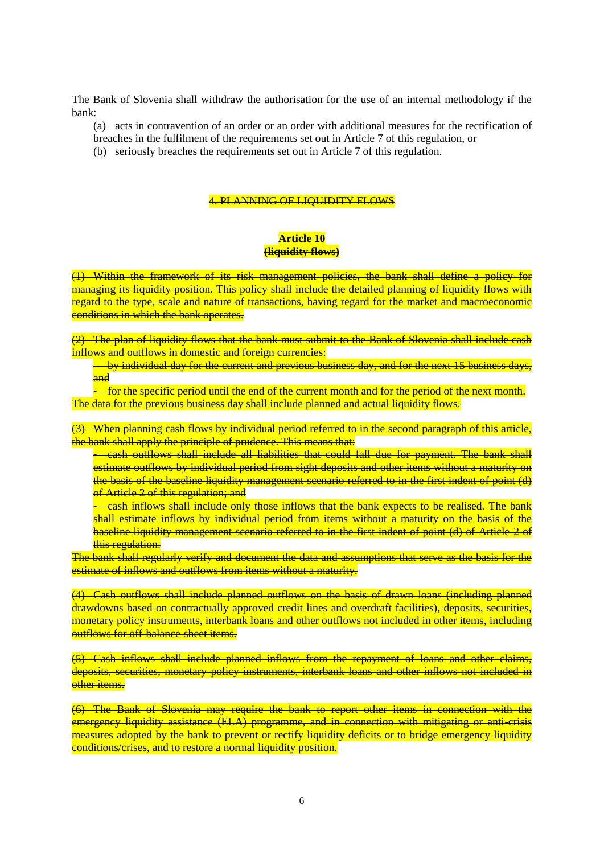The Bank of Slovenia shall withdraw the authorisation for the use of an internal methodology if the bank:

- (a) acts in contravention of an order or an order with additional measures for the rectification of
- breaches in the fulfilment of the requirements set out in Article 7 of this regulation, or
- (b) seriously breaches the requirements set out in Article 7 of this regulation.

## 4. PLANNING OF LIQUIDITY FLOWS

## **Article 10 (liquidity flows)**

(1) Within the framework of its risk management policies, the bank shall define a policy for managing its liquidity position. This policy shall include the detailed planning of liquidity flows with regard to the type, scale and nature of transactions, having regard for the market and macroeconomic conditions in which the bank operates.

(2) The plan of liquidity flows that the bank must submit to the Bank of Slovenia shall include cash inflows and outflows in domestic and foreign currencies:

- by individual day for the current and previous business day, and for the next 15 business days, and

**-** for the specific period until the end of the current month and for the period of the next month. The data for the previous business day shall include planned and actual liquidity flows.

(3) When planning cash flows by individual period referred to in the second paragraph of this article, the bank shall apply the principle of prudence. This means that:

- cash outflows shall include all liabilities that could fall due for payment. The bank shall estimate outflows by individual period from sight deposits and other items without a maturity on the basis of the baseline liquidity management scenario referred to in the first indent of point (d) of Article 2 of this regulation; and

- cash inflows shall include only those inflows that the bank expects to be realised. The bank shall estimate inflows by individual period from items without a maturity on the basis of the baseline liquidity management scenario referred to in the first indent of point (d) of Article 2 of this regulation.

The bank shall regularly verify and document the data and assumptions that serve as the basis for the estimate of inflows and outflows from items without a maturity.

(4) Cash outflows shall include planned outflows on the basis of drawn loans (including planned drawdowns based on contractually approved credit lines and overdraft facilities), deposits, securities, monetary policy instruments, interbank loans and other outflows not included in other items, including outflows for off-balance-sheet items.

(5) Cash inflows shall include planned inflows from the repayment of loans and other claims, deposits, securities, monetary policy instruments, interbank loans and other inflows not included in other items.

(6) The Bank of Slovenia may require the bank to report other items in connection with the emergency liquidity assistance (ELA) programme, and in connection with mitigating or anti-crisis measures adopted by the bank to prevent or rectify liquidity deficits or to bridge emergency liquidity conditions/crises, and to restore a normal liquidity position.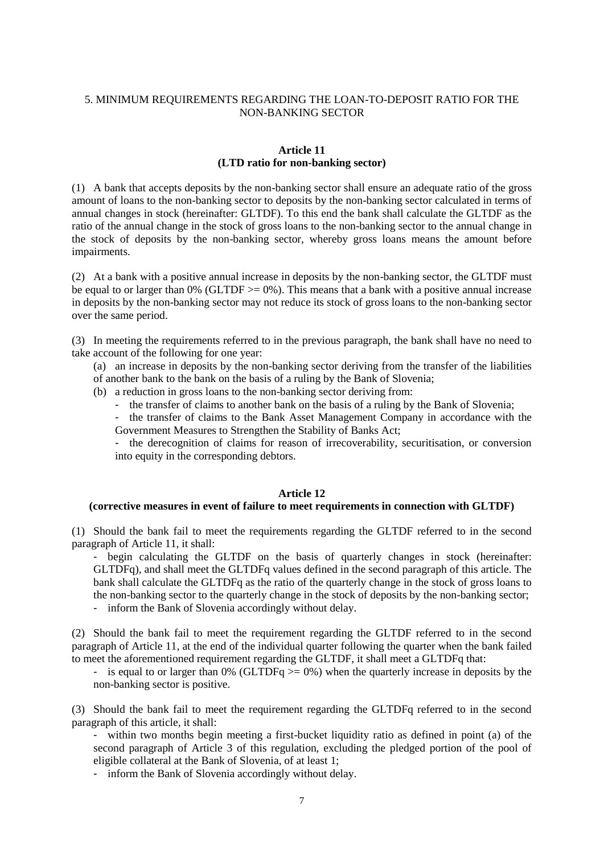# 5. MINIMUM REQUIREMENTS REGARDING THE LOAN-TO-DEPOSIT RATIO FOR THE NON-BANKING SECTOR

## **Article 11 (LTD ratio for non-banking sector)**

(1) A bank that accepts deposits by the non-banking sector shall ensure an adequate ratio of the gross amount of loans to the non-banking sector to deposits by the non-banking sector calculated in terms of annual changes in stock (hereinafter: GLTDF). To this end the bank shall calculate the GLTDF as the ratio of the annual change in the stock of gross loans to the non-banking sector to the annual change in the stock of deposits by the non-banking sector, whereby gross loans means the amount before impairments.

(2) At a bank with a positive annual increase in deposits by the non-banking sector, the GLTDF must be equal to or larger than  $0\%$  (GLTDF  $> = 0\%$ ). This means that a bank with a positive annual increase in deposits by the non-banking sector may not reduce its stock of gross loans to the non-banking sector over the same period.

(3) In meeting the requirements referred to in the previous paragraph, the bank shall have no need to take account of the following for one year:

(a) an increase in deposits by the non-banking sector deriving from the transfer of the liabilities of another bank to the bank on the basis of a ruling by the Bank of Slovenia;

- (b) a reduction in gross loans to the non-banking sector deriving from:
	- the transfer of claims to another bank on the basis of a ruling by the Bank of Slovenia;
	- the transfer of claims to the Bank Asset Management Company in accordance with the Government Measures to Strengthen the Stability of Banks Act;

- the derecognition of claims for reason of irrecoverability, securitisation, or conversion into equity in the corresponding debtors.

#### **Article 12**

#### **(corrective measures in event of failure to meet requirements in connection with GLTDF)**

(1) Should the bank fail to meet the requirements regarding the GLTDF referred to in the second paragraph of Article 11, it shall:

- begin calculating the GLTDF on the basis of quarterly changes in stock (hereinafter: GLTDFq), and shall meet the GLTDFq values defined in the second paragraph of this article. The bank shall calculate the GLTDFq as the ratio of the quarterly change in the stock of gross loans to the non-banking sector to the quarterly change in the stock of deposits by the non-banking sector;

- inform the Bank of Slovenia accordingly without delay.

(2) Should the bank fail to meet the requirement regarding the GLTDF referred to in the second paragraph of Article 11, at the end of the individual quarter following the quarter when the bank failed to meet the aforementioned requirement regarding the GLTDF, it shall meet a GLTDFq that:

- is equal to or larger than 0% (GLTDFq  $\ge$  = 0%) when the quarterly increase in deposits by the non-banking sector is positive.

(3) Should the bank fail to meet the requirement regarding the GLTDFq referred to in the second paragraph of this article, it shall:

- within two months begin meeting a first-bucket liquidity ratio as defined in point (a) of the second paragraph of Article 3 of this regulation, excluding the pledged portion of the pool of eligible collateral at the Bank of Slovenia, of at least 1;

- inform the Bank of Slovenia accordingly without delay.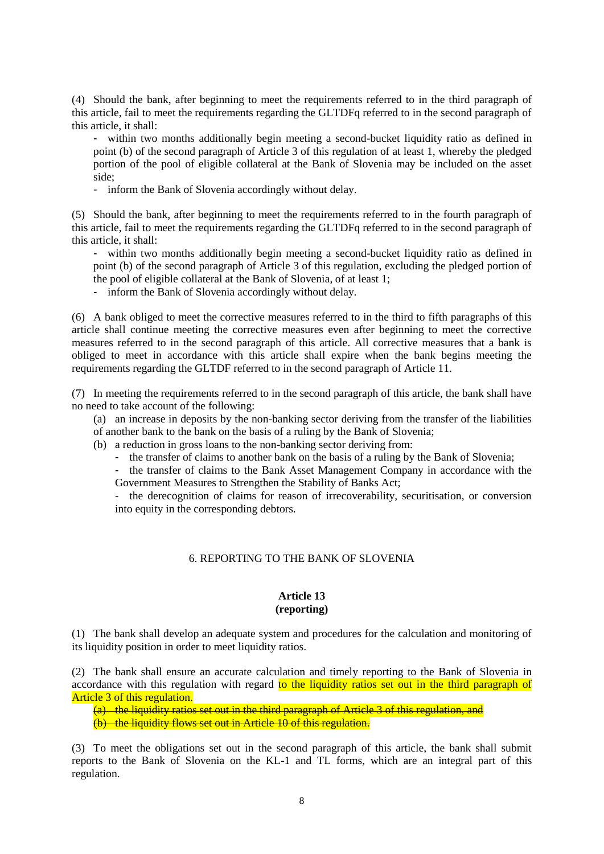(4) Should the bank, after beginning to meet the requirements referred to in the third paragraph of this article, fail to meet the requirements regarding the GLTDFq referred to in the second paragraph of this article, it shall:

- within two months additionally begin meeting a second-bucket liquidity ratio as defined in point (b) of the second paragraph of Article 3 of this regulation of at least 1, whereby the pledged portion of the pool of eligible collateral at the Bank of Slovenia may be included on the asset side;

- inform the Bank of Slovenia accordingly without delay.

(5) Should the bank, after beginning to meet the requirements referred to in the fourth paragraph of this article, fail to meet the requirements regarding the GLTDFq referred to in the second paragraph of this article, it shall:

- within two months additionally begin meeting a second-bucket liquidity ratio as defined in point (b) of the second paragraph of Article 3 of this regulation, excluding the pledged portion of the pool of eligible collateral at the Bank of Slovenia, of at least 1;

- inform the Bank of Slovenia accordingly without delay.

(6) A bank obliged to meet the corrective measures referred to in the third to fifth paragraphs of this article shall continue meeting the corrective measures even after beginning to meet the corrective measures referred to in the second paragraph of this article. All corrective measures that a bank is obliged to meet in accordance with this article shall expire when the bank begins meeting the requirements regarding the GLTDF referred to in the second paragraph of Article 11.

(7) In meeting the requirements referred to in the second paragraph of this article, the bank shall have no need to take account of the following:

(a) an increase in deposits by the non-banking sector deriving from the transfer of the liabilities of another bank to the bank on the basis of a ruling by the Bank of Slovenia;

(b) a reduction in gross loans to the non-banking sector deriving from:

- the transfer of claims to another bank on the basis of a ruling by the Bank of Slovenia;

- the transfer of claims to the Bank Asset Management Company in accordance with the

Government Measures to Strengthen the Stability of Banks Act;

- the derecognition of claims for reason of irrecoverability, securitisation, or conversion into equity in the corresponding debtors.

#### 6. REPORTING TO THE BANK OF SLOVENIA

# **Article 13 (reporting)**

(1) The bank shall develop an adequate system and procedures for the calculation and monitoring of its liquidity position in order to meet liquidity ratios.

(2) The bank shall ensure an accurate calculation and timely reporting to the Bank of Slovenia in accordance with this regulation with regard to the liquidity ratios set out in the third paragraph of Article 3 of this regulation.

(a) the liquidity ratios set out in the third paragraph of Article 3 of this regulation, and (b) the liquidity flows set out in Article 10 of this regulation.

(3) To meet the obligations set out in the second paragraph of this article, the bank shall submit reports to the Bank of Slovenia on the KL-1 and TL forms, which are an integral part of this regulation.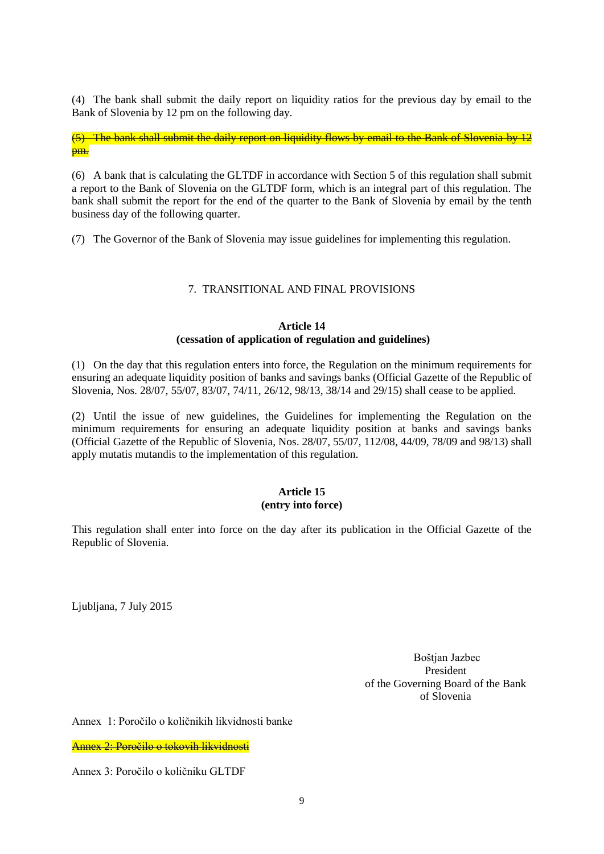(4) The bank shall submit the daily report on liquidity ratios for the previous day by email to the Bank of Slovenia by 12 pm on the following day.

(5) The bank shall submit the daily report on liquidity flows by email to the Bank of Slovenia by 12 <mark>pm.</mark>

(6) A bank that is calculating the GLTDF in accordance with Section 5 of this regulation shall submit a report to the Bank of Slovenia on the GLTDF form, which is an integral part of this regulation. The bank shall submit the report for the end of the quarter to the Bank of Slovenia by email by the tenth business day of the following quarter.

(7) The Governor of the Bank of Slovenia may issue guidelines for implementing this regulation.

## 7. TRANSITIONAL AND FINAL PROVISIONS

## **Article 14 (cessation of application of regulation and guidelines)**

(1) On the day that this regulation enters into force, the Regulation on the minimum requirements for ensuring an adequate liquidity position of banks and savings banks (Official Gazette of the Republic of Slovenia, Nos. 28/07, 55/07, 83/07, 74/11, 26/12, 98/13, 38/14 and 29/15) shall cease to be applied.

(2) Until the issue of new guidelines, the Guidelines for implementing the Regulation on the minimum requirements for ensuring an adequate liquidity position at banks and savings banks (Official Gazette of the Republic of Slovenia, Nos. 28/07, 55/07, 112/08, 44/09, 78/09 and 98/13) shall apply mutatis mutandis to the implementation of this regulation.

# **Article 15 (entry into force)**

This regulation shall enter into force on the day after its publication in the Official Gazette of the Republic of Slovenia.

Ljubljana, 7 July 2015

Boštjan Jazbec President of the Governing Board of the Bank of Slovenia

Annex 1: Poročilo o količnikih likvidnosti banke

Annex 2: Poročilo o tokovih likvidnosti

Annex 3: Poročilo o količniku GLTDF